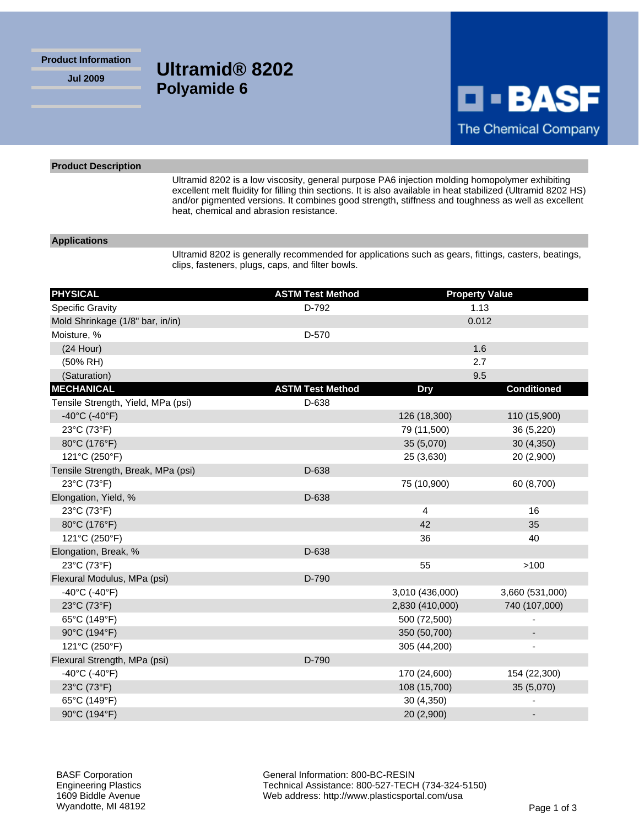**Product Information**

## **Jul 2009 Ultramid® 8202 Polyamide 6**



### **Product Description**

Ultramid 8202 is a low viscosity, general purpose PA6 injection molding homopolymer exhibiting excellent melt fluidity for filling thin sections. It is also available in heat stabilized (Ultramid 8202 HS) and/or pigmented versions. It combines good strength, stiffness and toughness as well as excellent heat, chemical and abrasion resistance.

### **Applications**

Ultramid 8202 is generally recommended for applications such as gears, fittings, casters, beatings, clips, fasteners, plugs, caps, and filter bowls.

| <b>PHYSICAL</b>                    | <b>ASTM Test Method</b> | <b>Property Value</b> |                    |
|------------------------------------|-------------------------|-----------------------|--------------------|
| <b>Specific Gravity</b>            | D-792                   | 1.13                  |                    |
| Mold Shrinkage (1/8" bar, in/in)   |                         | 0.012                 |                    |
| Moisture, %                        | D-570                   |                       |                    |
| $(24$ Hour)                        |                         | 1.6                   |                    |
| (50% RH)                           |                         | 2.7                   |                    |
| (Saturation)                       |                         | 9.5                   |                    |
| <b>MECHANICAL</b>                  | <b>ASTM Test Method</b> | <b>Dry</b>            | <b>Conditioned</b> |
| Tensile Strength, Yield, MPa (psi) | D-638                   |                       |                    |
| $-40^{\circ}$ C (-40 $^{\circ}$ F) |                         | 126 (18,300)          | 110 (15,900)       |
| 23°C (73°F)                        |                         | 79 (11,500)           | 36 (5,220)         |
| 80°C (176°F)                       |                         | 35 (5,070)            | 30 (4,350)         |
| 121°C (250°F)                      |                         | 25 (3,630)            | 20 (2,900)         |
| Tensile Strength, Break, MPa (psi) | D-638                   |                       |                    |
| 23°C (73°F)                        |                         | 75 (10,900)           | 60 (8,700)         |
| Elongation, Yield, %               | D-638                   |                       |                    |
| 23°C (73°F)                        |                         | $\overline{4}$        | 16                 |
| 80°C (176°F)                       |                         | 42                    | 35                 |
| 121°C (250°F)                      |                         | 36                    | 40                 |
| Elongation, Break, %               | D-638                   |                       |                    |
| 23°C (73°F)                        |                         | 55                    | >100               |
| Flexural Modulus, MPa (psi)        | D-790                   |                       |                    |
| -40°C (-40°F)                      |                         | 3,010 (436,000)       | 3,660 (531,000)    |
| 23°C (73°F)                        |                         | 2,830 (410,000)       | 740 (107,000)      |
| 65°C (149°F)                       |                         | 500 (72,500)          |                    |
| 90°C (194°F)                       |                         | 350 (50,700)          |                    |
| 121°C (250°F)                      |                         | 305 (44,200)          | $\overline{a}$     |
| Flexural Strength, MPa (psi)       | D-790                   |                       |                    |
| -40°C (-40°F)                      |                         | 170 (24,600)          | 154 (22,300)       |
| 23°C (73°F)                        |                         | 108 (15,700)          | 35 (5,070)         |
| 65°C (149°F)                       |                         | 30 (4,350)            |                    |
| 90°C (194°F)                       |                         | 20 (2,900)            |                    |

General Information: 800-BC-RESIN Technical Assistance: 800-527-TECH (734-324-5150) Web address: http://www.plasticsportal.com/usa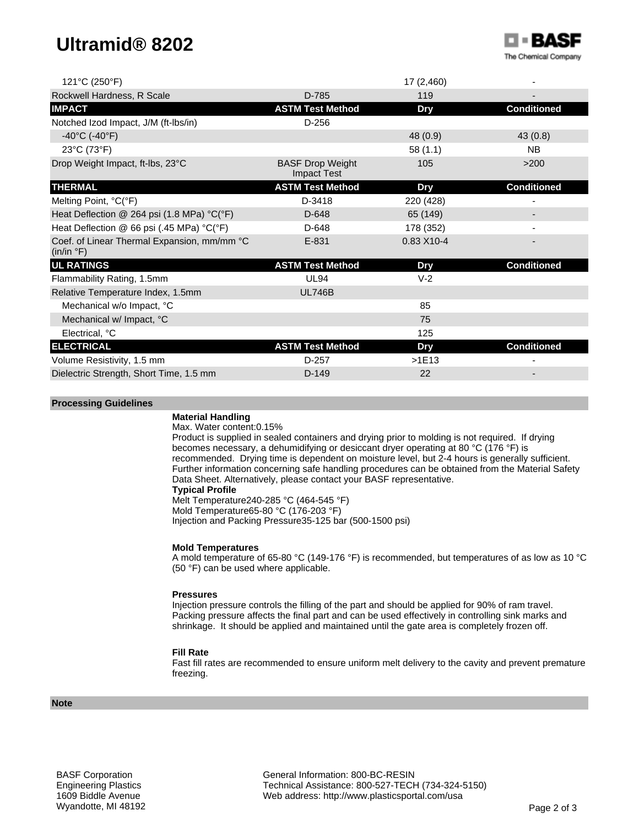# **Ultramid® 8202**



| 121°C (250°F)                                             |                                               | 17 (2,460) |                    |
|-----------------------------------------------------------|-----------------------------------------------|------------|--------------------|
| Rockwell Hardness, R Scale                                | D-785                                         | 119        |                    |
| <b>IMPACT</b>                                             | <b>ASTM Test Method</b>                       | <b>Dry</b> | <b>Conditioned</b> |
| Notched Izod Impact, J/M (ft-Ibs/in)                      | D-256                                         |            |                    |
| $-40^{\circ}$ C (-40 $^{\circ}$ F)                        |                                               | 48 (0.9)   | 43(0.8)            |
| 23°C (73°F)                                               |                                               | 58 (1.1)   | NB.                |
| Drop Weight Impact, ft-lbs, 23°C                          | <b>BASF Drop Weight</b><br><b>Impact Test</b> | 105        | >200               |
| <b>THERMAL</b>                                            | <b>ASTM Test Method</b>                       | <b>Dry</b> | <b>Conditioned</b> |
| Melting Point, °C(°F)                                     | D-3418                                        | 220 (428)  |                    |
| Heat Deflection $@$ 264 psi (1.8 MPa) $°C(°F)$            | D-648                                         | 65 (149)   |                    |
| Heat Deflection @ 66 psi (.45 MPa) °C(°F)                 | D-648                                         | 178 (352)  |                    |
| Coef. of Linear Thermal Expansion, mm/mm °C<br>(in/in °F) | $E - 831$                                     | 0.83 X10-4 |                    |
| <b>UL RATINGS</b>                                         | <b>ASTM Test Method</b>                       | <b>Dry</b> | <b>Conditioned</b> |
| Flammability Rating, 1.5mm                                | <b>UL94</b>                                   | $V-2$      |                    |
| Relative Temperature Index, 1.5mm                         | <b>UL746B</b>                                 |            |                    |
| Mechanical w/o Impact, °C                                 |                                               | 85         |                    |
| Mechanical w/ Impact, °C                                  |                                               | 75         |                    |
| Electrical, °C                                            |                                               | 125        |                    |
| <b>ELECTRICAL</b>                                         | <b>ASTM Test Method</b>                       | <b>Dry</b> | <b>Conditioned</b> |
| Volume Resistivity, 1.5 mm                                | $D-257$                                       | $>1E13$    |                    |
| Dielectric Strength, Short Time, 1.5 mm                   | $D-149$                                       | 22         |                    |

#### **Processing Guidelines**

**Material Handling** Max. Water content: 0.15%

Product is supplied in sealed containers and drying prior to molding is not required. If drying becomes necessary, a dehumidifying or desiccant dryer operating at 80 °C (176 °F) is recommended. Drying time is dependent on moisture level, but 2-4 hours is generally sufficient. Further information concerning safe handling procedures can be obtained from the Material Safety Data Sheet. Alternatively, please contact your BASF representative.

#### **Typical Profile**

Melt Temperature 240-285 °C (464-545 °F) Mold Temperature 65-80 °C (176-203 °F) Injection and Packing Pressure 35-125 bar (500-1500 psi)

#### **Mold Temperatures**

A mold temperature of 65-80 °C (149-176 °F) is recommended, but temperatures of as low as 10 °C (50 °F) can be used where applicable.

#### **Pressures**

Injection pressure controls the filling of the part and should be applied for 90% of ram travel. Packing pressure affects the final part and can be used effectively in controlling sink marks and shrinkage. It should be applied and maintained until the gate area is completely frozen off.

#### **Fill Rate**

Fast fill rates are recommended to ensure uniform melt delivery to the cavity and prevent premature freezing.

#### **Note**